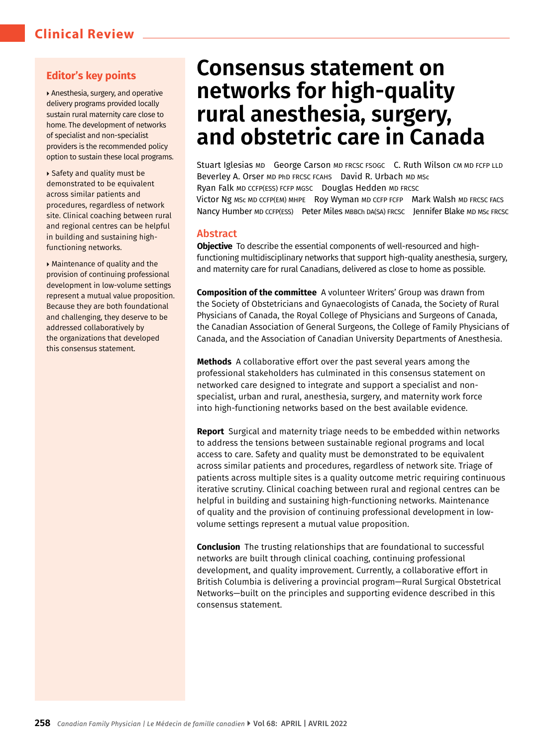## **Editor's key points**

 Anesthesia, surgery, and operative delivery programs provided locally sustain rural maternity care close to home. The development of networks of specialist and non-specialist providers is the recommended policy option to sustain these local programs.

 Safety and quality must be demonstrated to be equivalent across similar patients and procedures, regardless of network site. Clinical coaching between rural and regional centres can be helpful in building and sustaining highfunctioning networks.

 Maintenance of quality and the provision of continuing professional development in low-volume settings represent a mutual value proposition. Because they are both foundational and challenging, they deserve to be addressed collaboratively by the organizations that developed this consensus statement.

# **Consensus statement on networks for high-quality rural anesthesia, surgery, and obstetric care in Canada**

Stuart Iglesias MD George Carson MD FRCSC FSOGC C. Ruth Wilson CM MD FCFP LLD Beverley A. Orser MD PhD FRCSC FCAHS David R. Urbach MD MSc Ryan Falk MD CCFP(ESS) FCFP MGSC Douglas Hedden MD FRCSC Victor Ng MSc MD CCFP(EM) MHPE Roy Wyman MD CCFP FCFP Mark Walsh MD FRCSC FACS Nancy Humber MD CCFP(ESS) Peter Miles MBBCh DA(SA) FRCSC Jennifer Blake MD MSc FRCSC

## Abstract

**Objective** To describe the essential components of well-resourced and highfunctioning multidisciplinary networks that support high-quality anesthesia, surgery, and maternity care for rural Canadians, delivered as close to home as possible.

**Composition of the committee** A volunteer Writers' Group was drawn from the Society of Obstetricians and Gynaecologists of Canada, the Society of Rural Physicians of Canada, the Royal College of Physicians and Surgeons of Canada, the Canadian Association of General Surgeons, the College of Family Physicians of Canada, and the Association of Canadian University Departments of Anesthesia.

**Methods** A collaborative effort over the past several years among the professional stakeholders has culminated in this consensus statement on networked care designed to integrate and support a specialist and nonspecialist, urban and rural, anesthesia, surgery, and maternity work force into high-functioning networks based on the best available evidence.

**Report** Surgical and maternity triage needs to be embedded within networks to address the tensions between sustainable regional programs and local access to care. Safety and quality must be demonstrated to be equivalent across similar patients and procedures, regardless of network site. Triage of patients across multiple sites is a quality outcome metric requiring continuous iterative scrutiny. Clinical coaching between rural and regional centres can be helpful in building and sustaining high-functioning networks. Maintenance of quality and the provision of continuing professional development in lowvolume settings represent a mutual value proposition.

**Conclusion** The trusting relationships that are foundational to successful networks are built through clinical coaching, continuing professional development, and quality improvement. Currently, a collaborative effort in British Columbia is delivering a provincial program—Rural Surgical Obstetrical Networks—built on the principles and supporting evidence described in this consensus statement.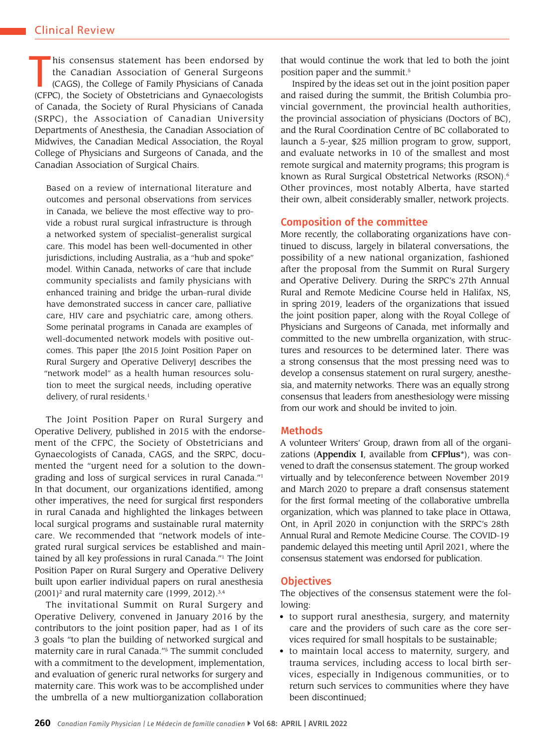his consensus statement has been endorsed by the Canadian Association of General Surgeons (CAGS), the College of Family Physicians of Canada (CFPC), the Society of Obstetricians and Gynaecologists of Canada, the Society of Rural Physicians of Canada (SRPC), the Association of Canadian University Departments of Anesthesia, the Canadian Association of Midwives, the Canadian Medical Association, the Royal College of Physicians and Surgeons of Canada, and the Canadian Association of Surgical Chairs.

Based on a review of international literature and outcomes and personal observations from services in Canada, we believe the most effective way to provide a robust rural surgical infrastructure is through a networked system of specialist–generalist surgical care. This model has been well-documented in other jurisdictions, including Australia, as a "hub and spoke" model. Within Canada, networks of care that include community specialists and family physicians with enhanced training and bridge the urban–rural divide have demonstrated success in cancer care, palliative care, HIV care and psychiatric care, among others. Some perinatal programs in Canada are examples of well-documented network models with positive outcomes. This paper [the 2015 Joint Position Paper on Rural Surgery and Operative Delivery] describes the "network model" as a health human resources solution to meet the surgical needs, including operative delivery, of rural residents.<sup>1</sup>

The Joint Position Paper on Rural Surgery and Operative Delivery, published in 2015 with the endorsement of the CFPC, the Society of Obstetricians and Gynaecologists of Canada, CAGS, and the SRPC, documented the "urgent need for a solution to the downgrading and loss of surgical services in rural Canada."1 In that document, our organizations identified, among other imperatives, the need for surgical first responders in rural Canada and highlighted the linkages between local surgical programs and sustainable rural maternity care. We recommended that "network models of integrated rural surgical services be established and maintained by all key professions in rural Canada."1 The Joint Position Paper on Rural Surgery and Operative Delivery built upon earlier individual papers on rural anesthesia  $(2001)^2$  and rural maternity care (1999, 2012).<sup>3,4</sup>

The invitational Summit on Rural Surgery and Operative Delivery, convened in January 2016 by the contributors to the joint position paper, had as 1 of its 3 goals "to plan the building of networked surgical and maternity care in rural Canada."5 The summit concluded with a commitment to the development, implementation, and evaluation of generic rural networks for surgery and maternity care. This work was to be accomplished under the umbrella of a new multiorganization collaboration

that would continue the work that led to both the joint position paper and the summit.5

Inspired by the ideas set out in the joint position paper and raised during the summit, the British Columbia provincial government, the provincial health authorities, the provincial association of physicians (Doctors of BC), and the Rural Coordination Centre of BC collaborated to launch a 5-year, \$25 million program to grow, support, and evaluate networks in 10 of the smallest and most remote surgical and maternity programs; this program is known as Rural Surgical Obstetrical Networks (RSON).<sup>6</sup> Other provinces, most notably Alberta, have started their own, albeit considerably smaller, network projects.

### Composition of the committee

More recently, the collaborating organizations have continued to discuss, largely in bilateral conversations, the possibility of a new national organization, fashioned after the proposal from the Summit on Rural Surgery and Operative Delivery. During the SRPC's 27th Annual Rural and Remote Medicine Course held in Halifax, NS, in spring 2019, leaders of the organizations that issued the joint position paper, along with the Royal College of Physicians and Surgeons of Canada, met informally and committed to the new umbrella organization, with structures and resources to be determined later. There was a strong consensus that the most pressing need was to develop a consensus statement on rural surgery, anesthesia, and maternity networks. There was an equally strong consensus that leaders from anesthesiology were missing from our work and should be invited to join.

#### Methods

A volunteer Writers' Group, drawn from all of the organizations (Appendix I, available from CFPlus<sup>\*</sup>), was convened to draft the consensus statement. The group worked virtually and by teleconference between November 2019 and March 2020 to prepare a draft consensus statement for the first formal meeting of the collaborative umbrella organization, which was planned to take place in Ottawa, Ont, in April 2020 in conjunction with the SRPC's 28th Annual Rural and Remote Medicine Course. The COVID-19 pandemic delayed this meeting until April 2021, where the consensus statement was endorsed for publication.

#### **Objectives**

The objectives of the consensus statement were the following:

- to support rural anesthesia, surgery, and maternity care and the providers of such care as the core services required for small hospitals to be sustainable;
- to maintain local access to maternity, surgery, and trauma services, including access to local birth services, especially in Indigenous communities, or to return such services to communities where they have been discontinued;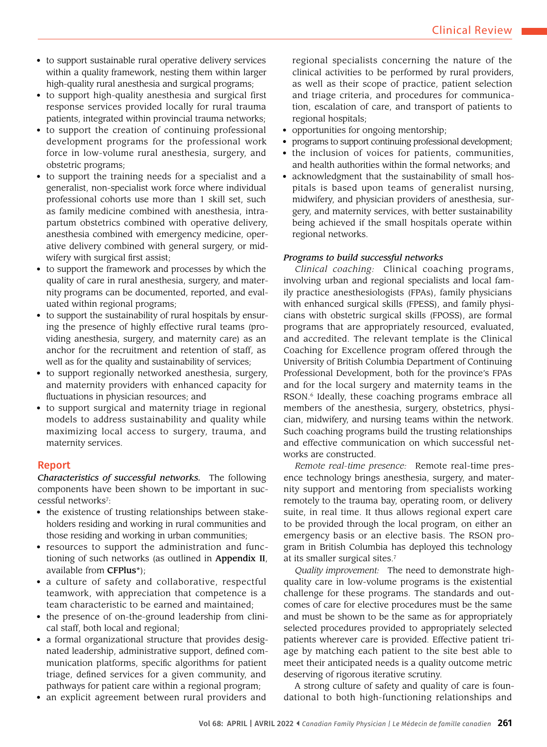- to support sustainable rural operative delivery services within a quality framework, nesting them within larger high-quality rural anesthesia and surgical programs;
- to support high-quality anesthesia and surgical first response services provided locally for rural trauma patients, integrated within provincial trauma networks;
- to support the creation of continuing professional development programs for the professional work force in low-volume rural anesthesia, surgery, and obstetric programs;
- to support the training needs for a specialist and a generalist, non-specialist work force where individual professional cohorts use more than 1 skill set, such as family medicine combined with anesthesia, intrapartum obstetrics combined with operative delivery, anesthesia combined with emergency medicine, operative delivery combined with general surgery, or midwifery with surgical first assist;
- to support the framework and processes by which the quality of care in rural anesthesia, surgery, and maternity programs can be documented, reported, and evaluated within regional programs;
- to support the sustainability of rural hospitals by ensuring the presence of highly effective rural teams (providing anesthesia, surgery, and maternity care) as an anchor for the recruitment and retention of staff, as well as for the quality and sustainability of services;
- to support regionally networked anesthesia, surgery, and maternity providers with enhanced capacity for fluctuations in physician resources; and
- to support surgical and maternity triage in regional models to address sustainability and quality while maximizing local access to surgery, trauma, and maternity services.

### Report

*Characteristics of successful networks.* The following components have been shown to be important in successful networks7:

- the existence of trusting relationships between stakeholders residing and working in rural communities and those residing and working in urban communities;
- resources to support the administration and functioning of such networks (as outlined in Appendix II, available from CFPlus\*);
- a culture of safety and collaborative, respectful teamwork, with appreciation that competence is a team characteristic to be earned and maintained;
- the presence of on-the-ground leadership from clinical staff, both local and regional;
- a formal organizational structure that provides designated leadership, administrative support, defined communication platforms, specific algorithms for patient triage, defined services for a given community, and pathways for patient care within a regional program;
- an explicit agreement between rural providers and

regional specialists concerning the nature of the clinical activities to be performed by rural providers, as well as their scope of practice, patient selection and triage criteria, and procedures for communication, escalation of care, and transport of patients to regional hospitals;

- opportunities for ongoing mentorship;
- programs to support continuing professional development;
- the inclusion of voices for patients, communities, and health authorities within the formal networks; and
- acknowledgment that the sustainability of small hospitals is based upon teams of generalist nursing, midwifery, and physician providers of anesthesia, surgery, and maternity services, with better sustainability being achieved if the small hospitals operate within regional networks.

### *Programs to build successful networks*

*Clinical coaching:* Clinical coaching programs, involving urban and regional specialists and local family practice anesthesiologists (FPAs), family physicians with enhanced surgical skills (FPESS), and family physicians with obstetric surgical skills (FPOSS), are formal programs that are appropriately resourced, evaluated, and accredited. The relevant template is the Clinical Coaching for Excellence program offered through the University of British Columbia Department of Continuing Professional Development, both for the province's FPAs and for the local surgery and maternity teams in the RSON.<sup>6</sup> Ideally, these coaching programs embrace all members of the anesthesia, surgery, obstetrics, physician, midwifery, and nursing teams within the network. Such coaching programs build the trusting relationships and effective communication on which successful networks are constructed.

*Remote real-time presence:* Remote real-time presence technology brings anesthesia, surgery, and maternity support and mentoring from specialists working remotely to the trauma bay, operating room, or delivery suite, in real time. It thus allows regional expert care to be provided through the local program, on either an emergency basis or an elective basis. The RSON program in British Columbia has deployed this technology at its smaller surgical sites.7

*Quality improvement:* The need to demonstrate highquality care in low-volume programs is the existential challenge for these programs. The standards and outcomes of care for elective procedures must be the same and must be shown to be the same as for appropriately selected procedures provided to appropriately selected patients wherever care is provided. Effective patient triage by matching each patient to the site best able to meet their anticipated needs is a quality outcome metric deserving of rigorous iterative scrutiny.

A strong culture of safety and quality of care is foundational to both high-functioning relationships and